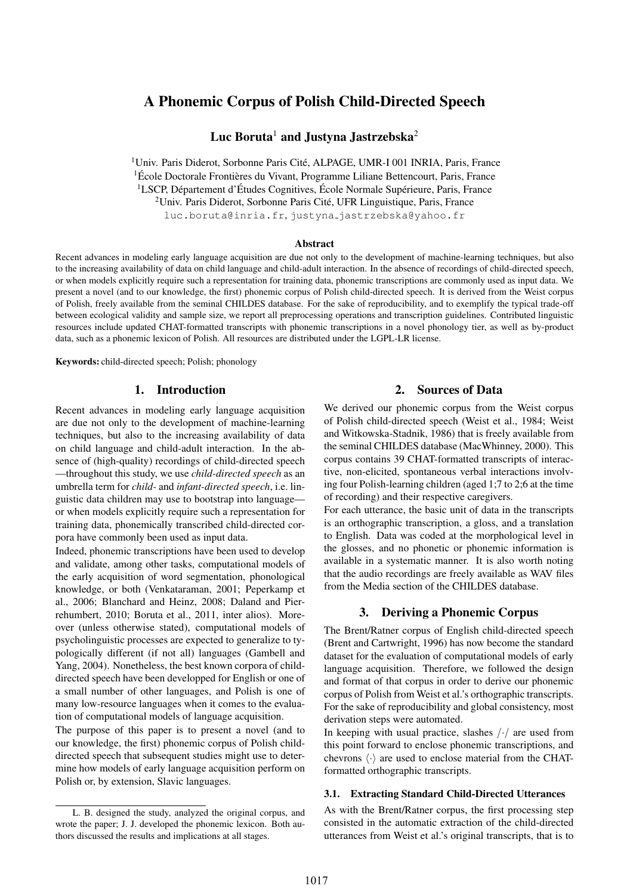# A Phonemic Corpus of Polish Child-Directed Speech

# Luc Boruta<sup>1</sup> and Justyna Jastrzebska<sup>2</sup>

<sup>1</sup>Univ. Paris Diderot, Sorbonne Paris Cité, ALPAGE, UMR-I 001 INRIA, Paris, France  ${}^{1}$ École Doctorale Frontières du Vivant, Programme Liliane Bettencourt, Paris, France <sup>1</sup>LSCP, Département d'Études Cognitives, École Normale Supérieure, Paris, France <sup>2</sup>Univ. Paris Diderot, Sorbonne Paris Cité, UFR Linguistique, Paris, France luc.boruta@inria.fr, justyna jastrzebska@yahoo.fr

#### Abstract

Recent advances in modeling early language acquisition are due not only to the development of machine-learning techniques, but also to the increasing availability of data on child language and child-adult interaction. In the absence of recordings of child-directed speech, or when models explicitly require such a representation for training data, phonemic transcriptions are commonly used as input data. We present a novel (and to our knowledge, the first) phonemic corpus of Polish child-directed speech. It is derived from the Weist corpus of Polish, freely available from the seminal CHILDES database. For the sake of reproducibility, and to exemplify the typical trade-off between ecological validity and sample size, we report all preprocessing operations and transcription guidelines. Contributed linguistic resources include updated CHAT-formatted transcripts with phonemic transcriptions in a novel phonology tier, as well as by-product data, such as a phonemic lexicon of Polish. All resources are distributed under the LGPL-LR license.

Keywords: child-directed speech; Polish; phonology

# 1. Introduction

Recent advances in modeling early language acquisition are due not only to the development of machine-learning techniques, but also to the increasing availability of data on child language and child-adult interaction. In the absence of (high-quality) recordings of child-directed speech —throughout this study, we use *child-directed speech* as an umbrella term for *child-* and *infant-directed speech*, i.e. linguistic data children may use to bootstrap into language or when models explicitly require such a representation for training data, phonemically transcribed child-directed corpora have commonly been used as input data.

Indeed, phonemic transcriptions have been used to develop and validate, among other tasks, computational models of the early acquisition of word segmentation, phonological knowledge, or both (Venkataraman, 2001; Peperkamp et al., 2006; Blanchard and Heinz, 2008; Daland and Pierrehumbert, 2010; Boruta et al., 2011, inter alios). Moreover (unless otherwise stated), computational models of psycholinguistic processes are expected to generalize to typologically different (if not all) languages (Gambell and Yang, 2004). Nonetheless, the best known corpora of childdirected speech have been developped for English or one of a small number of other languages, and Polish is one of many low-resource languages when it comes to the evaluation of computational models of language acquisition.

The purpose of this paper is to present a novel (and to our knowledge, the first) phonemic corpus of Polish childdirected speech that subsequent studies might use to determine how models of early language acquisition perform on Polish or, by extension, Slavic languages.

# 2. Sources of Data

We derived our phonemic corpus from the Weist corpus of Polish child-directed speech (Weist et al., 1984; Weist and Witkowska-Stadnik, 1986) that is freely available from the seminal CHILDES database (MacWhinney, 2000). This corpus contains 39 CHAT-formatted transcripts of interactive, non-elicited, spontaneous verbal interactions involving four Polish-learning children (aged 1;7 to 2;6 at the time of recording) and their respective caregivers.

For each utterance, the basic unit of data in the transcripts is an orthographic transcription, a gloss, and a translation to English. Data was coded at the morphological level in the glosses, and no phonetic or phonemic information is available in a systematic manner. It is also worth noting that the audio recordings are freely available as WAV files from the Media section of the CHILDES database.

# 3. Deriving a Phonemic Corpus

The Brent/Ratner corpus of English child-directed speech (Brent and Cartwright, 1996) has now become the standard dataset for the evaluation of computational models of early language acquisition. Therefore, we followed the design and format of that corpus in order to derive our phonemic corpus of Polish from Weist et al.'s orthographic transcripts. For the sake of reproducibility and global consistency, most derivation steps were automated.

In keeping with usual practice, slashes  $\frac{1}{7}$  are used from this point forward to enclose phonemic transcriptions, and chevrons  $\langle \cdot \rangle$  are used to enclose material from the CHATformatted orthographic transcripts.

#### 3.1. Extracting Standard Child-Directed Utterances

As with the Brent/Ratner corpus, the first processing step consisted in the automatic extraction of the child-directed utterances from Weist et al.'s original transcripts, that is to

L. B. designed the study, analyzed the original corpus, and wrote the paper; J. J. developed the phonemic lexicon. Both authors discussed the results and implications at all stages.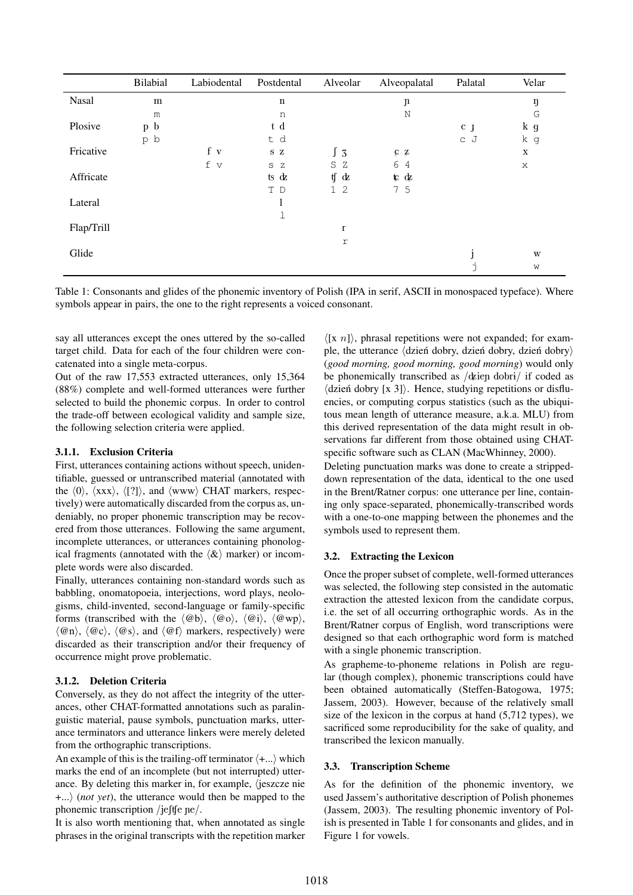|            | Bilabial | Labiodental | Postdental  | Alveolar       | Alveopalatal        | Palatal | Velar       |
|------------|----------|-------------|-------------|----------------|---------------------|---------|-------------|
| Nasal      | m        |             | $\mathbf n$ |                | $\mathfrak n$       |         | ŋ           |
|            | m        |             | n           |                | N                   |         | G           |
| Plosive    | p b      |             | t d         |                |                     | $c_{J}$ | k g         |
|            | p b      |             | t d         |                |                     | c J     | k g         |
| Fricative  |          | f v         | SZ          | $\int 3$       | CZ                  |         | $\mathbf X$ |
|            |          | f v         | S Z         | S Z            | 6<br>$\overline{4}$ |         | X           |
| Affricate  |          |             | ts dz       | tf<br>dz       | $\mathfrak{r}$ d    |         |             |
|            |          |             | T D         | 1 <sub>2</sub> | 7 5                 |         |             |
| Lateral    |          |             | 1           |                |                     |         |             |
|            |          |             | 1           |                |                     |         |             |
| Flap/Trill |          |             |             | $\bf r$        |                     |         |             |
|            |          |             |             | $\Upsilon$     |                     |         |             |
| Glide      |          |             |             |                |                     |         | W           |
|            |          |             |             |                |                     | ÷       | W           |

Table 1: Consonants and glides of the phonemic inventory of Polish (IPA in serif, ASCII in monospaced typeface). Where symbols appear in pairs, the one to the right represents a voiced consonant.

say all utterances except the ones uttered by the so-called target child. Data for each of the four children were concatenated into a single meta-corpus.

Out of the raw 17,553 extracted utterances, only 15,364 (88%) complete and well-formed utterances were further selected to build the phonemic corpus. In order to control the trade-off between ecological validity and sample size, the following selection criteria were applied.

#### 3.1.1. Exclusion Criteria

First, utterances containing actions without speech, unidentifiable, guessed or untranscribed material (annotated with the  $\langle 0 \rangle$ ,  $\langle$ xxx $\rangle$ ,  $\langle$ [?]), and  $\langle$ www $\rangle$  CHAT markers, respectively) were automatically discarded from the corpus as, undeniably, no proper phonemic transcription may be recovered from those utterances. Following the same argument, incomplete utterances, or utterances containing phonological fragments (annotated with the  $\langle \⟩$  marker) or incomplete words were also discarded.

Finally, utterances containing non-standard words such as babbling, onomatopoeia, interjections, word plays, neologisms, child-invented, second-language or family-specific forms (transcribed with the  $\langle @b \rangle$ ,  $\langle @o \rangle$ ,  $\langle @i \rangle$ ,  $\langle @wp \rangle$ ,  $\langle \omega_n \rangle$ ,  $\langle \omega_c \rangle$ ,  $\langle \omega_s \rangle$ , and  $\langle \omega_f \rangle$  markers, respectively) were discarded as their transcription and/or their frequency of occurrence might prove problematic.

#### 3.1.2. Deletion Criteria

Conversely, as they do not affect the integrity of the utterances, other CHAT-formatted annotations such as paralinguistic material, pause symbols, punctuation marks, utterance terminators and utterance linkers were merely deleted from the orthographic transcriptions.

An example of this is the trailing-off terminator  $\langle +...\rangle$  which marks the end of an incomplete (but not interrupted) utterance. By deleting this marker in, for example,  $\langle$  jeszcze nie  $+...\rangle$  (*not yet*), the utterance would then be mapped to the phonemic transcription /jefte  $pe/$ .

It is also worth mentioning that, when annotated as single phrases in the original transcripts with the repetition marker

 $\langle [x \ n]\rangle$ , phrasal repetitions were not expanded; for example, the utterance  $\langle$  dzień dobry, dzień dobry, dzień dobry $\rangle$ (*good morning, good morning, good morning*) would only be phonemically transcribed as  $/\text{d}$ ien dobri $/$  if coded as  $\langle$ dzień dobry [x 3] $\rangle$ . Hence, studying repetitions or disfluencies, or computing corpus statistics (such as the ubiquitous mean length of utterance measure, a.k.a. MLU) from this derived representation of the data might result in observations far different from those obtained using CHATspecific software such as CLAN (MacWhinney, 2000).

Deleting punctuation marks was done to create a strippeddown representation of the data, identical to the one used in the Brent/Ratner corpus: one utterance per line, containing only space-separated, phonemically-transcribed words with a one-to-one mapping between the phonemes and the symbols used to represent them.

#### 3.2. Extracting the Lexicon

Once the proper subset of complete, well-formed utterances was selected, the following step consisted in the automatic extraction the attested lexicon from the candidate corpus, i.e. the set of all occurring orthographic words. As in the Brent/Ratner corpus of English, word transcriptions were designed so that each orthographic word form is matched with a single phonemic transcription.

As grapheme-to-phoneme relations in Polish are regular (though complex), phonemic transcriptions could have been obtained automatically (Steffen-Batogowa, 1975; Jassem, 2003). However, because of the relatively small size of the lexicon in the corpus at hand (5,712 types), we sacrificed some reproducibility for the sake of quality, and transcribed the lexicon manually.

#### 3.3. Transcription Scheme

As for the definition of the phonemic inventory, we used Jassem's authoritative description of Polish phonemes (Jassem, 2003). The resulting phonemic inventory of Polish is presented in Table 1 for consonants and glides, and in Figure 1 for vowels.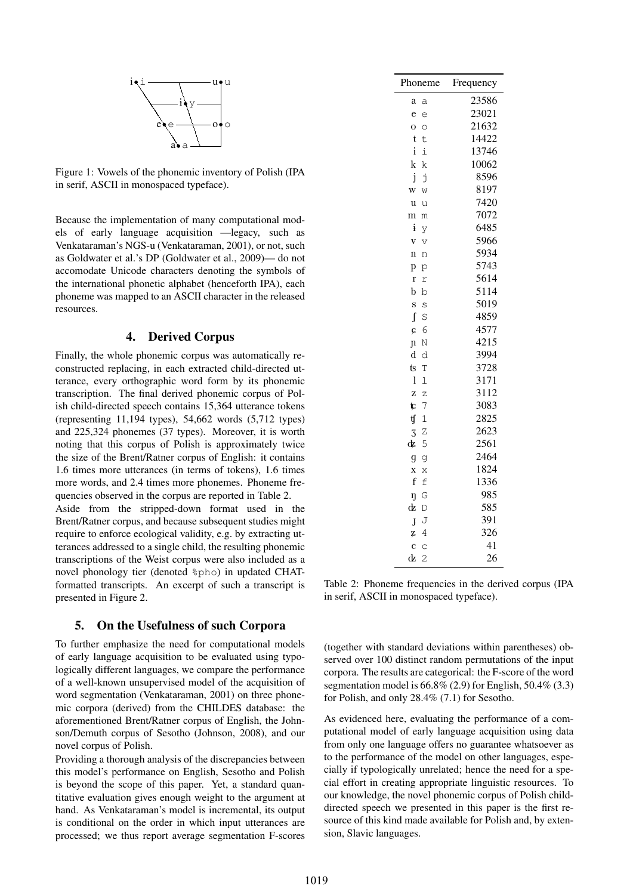

Figure 1: Vowels of the phonemic inventory of Polish (IPA in serif, ASCII in monospaced typeface).

Because the implementation of many computational models of early language acquisition —legacy, such as Venkataraman's NGS-u (Venkataraman, 2001), or not, such as Goldwater et al.'s DP (Goldwater et al., 2009)— do not accomodate Unicode characters denoting the symbols of the international phonetic alphabet (henceforth IPA), each phoneme was mapped to an ASCII character in the released resources.

### 4. Derived Corpus

Finally, the whole phonemic corpus was automatically reconstructed replacing, in each extracted child-directed utterance, every orthographic word form by its phonemic transcription. The final derived phonemic corpus of Polish child-directed speech contains 15,364 utterance tokens (representing 11,194 types), 54,662 words (5,712 types) and 225,324 phonemes (37 types). Moreover, it is worth noting that this corpus of Polish is approximately twice the size of the Brent/Ratner corpus of English: it contains 1.6 times more utterances (in terms of tokens), 1.6 times more words, and 2.4 times more phonemes. Phoneme frequencies observed in the corpus are reported in Table 2.

Aside from the stripped-down format used in the Brent/Ratner corpus, and because subsequent studies might require to enforce ecological validity, e.g. by extracting utterances addressed to a single child, the resulting phonemic transcriptions of the Weist corpus were also included as a novel phonology tier (denoted %pho) in updated CHATformatted transcripts. An excerpt of such a transcript is presented in Figure 2.

#### 5. On the Usefulness of such Corpora

To further emphasize the need for computational models of early language acquisition to be evaluated using typologically different languages, we compare the performance of a well-known unsupervised model of the acquisition of word segmentation (Venkataraman, 2001) on three phonemic corpora (derived) from the CHILDES database: the aforementioned Brent/Ratner corpus of English, the Johnson/Demuth corpus of Sesotho (Johnson, 2008), and our novel corpus of Polish.

Providing a thorough analysis of the discrepancies between this model's performance on English, Sesotho and Polish is beyond the scope of this paper. Yet, a standard quantitative evaluation gives enough weight to the argument at hand. As Venkataraman's model is incremental, its output is conditional on the order in which input utterances are processed; we thus report average segmentation F-scores

| Phoneme                               | Frequency    |  |  |
|---------------------------------------|--------------|--|--|
| a<br>a                                | 23586        |  |  |
| e<br>e                                | 23021        |  |  |
| $\mathbf{o}$<br>$\circ$               | 21632        |  |  |
| t<br>t                                | 14422        |  |  |
| $\mathbf{i}$<br>i                     | 13746        |  |  |
| k<br>k                                | 10062        |  |  |
| j<br>ť                                | 8596         |  |  |
| W<br>W                                | 8197         |  |  |
| u<br>u                                | 7420         |  |  |
| $\mathbf{m}$<br>m                     | 7072         |  |  |
| i<br>y                                | 6485         |  |  |
| V<br>V                                | 5966         |  |  |
| $\mathbf n$<br>n                      | 5934         |  |  |
| p<br>p                                | 5743         |  |  |
| $\mathbf{r}$<br>r                     | 5614         |  |  |
| b<br>b                                | 5114         |  |  |
| S<br>S                                | 5019         |  |  |
| ſ<br>S                                | 4859         |  |  |
| 6<br>Ç                                | 4577         |  |  |
| N<br>$\mathbf{p}$                     | 4215         |  |  |
| $\mathbf d$<br>d                      | 3994         |  |  |
| t <sub>S</sub><br>T                   | 3728         |  |  |
| 1<br>$\mathbf 1$                      | 3171         |  |  |
| Z<br>$\overline{z}$                   | 3112         |  |  |
| ţ<br>7                                | 3083         |  |  |
| ţſ<br>$\mathbf 1$                     | 2825         |  |  |
| Z<br>3                                | 2623         |  |  |
| ¢<br>5                                | 2561         |  |  |
| g<br>g                                | 2464         |  |  |
| X<br>X<br>f<br>f                      | 1824<br>1336 |  |  |
|                                       | 985          |  |  |
| G<br>ŋ<br>¢                           | 585          |  |  |
| D                                     | 391          |  |  |
| J<br>J<br>$\overline{4}$              | 326          |  |  |
| Z<br>$\ddot{\text{c}}$<br>$\mathbf C$ | 41           |  |  |
| $\overline{2}$<br>¢                   | 26           |  |  |
|                                       |              |  |  |

Table 2: Phoneme frequencies in the derived corpus (IPA in serif, ASCII in monospaced typeface).

(together with standard deviations within parentheses) observed over 100 distinct random permutations of the input corpora. The results are categorical: the F-score of the word segmentation model is 66.8% (2.9) for English, 50.4% (3.3) for Polish, and only 28.4% (7.1) for Sesotho.

As evidenced here, evaluating the performance of a computational model of early language acquisition using data from only one language offers no guarantee whatsoever as to the performance of the model on other languages, especially if typologically unrelated; hence the need for a special effort in creating appropriate linguistic resources. To our knowledge, the novel phonemic corpus of Polish childdirected speech we presented in this paper is the first resource of this kind made available for Polish and, by extension, Slavic languages.